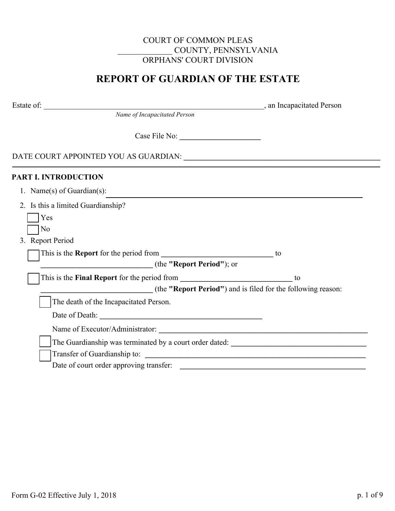## COURT OF COMMON PLEAS \_\_\_\_\_\_\_\_\_\_\_\_\_ COUNTY, PENNSYLVANIA ORPHANS' COURT DIVISION

# **REPORT OF GUARDIAN OF THE ESTATE**

Estate of: \_\_\_\_\_\_\_\_\_\_\_\_\_\_\_\_\_\_\_\_\_\_\_\_\_\_\_\_\_\_\_\_\_\_\_\_\_\_\_\_\_\_\_\_\_\_\_\_\_\_\_\_\_\_\_\_\_, an Incapacitated Person

*Name of Incapacitated Person*

Case File No: **\_\_\_\_\_\_\_\_\_\_\_\_\_\_\_\_\_\_\_\_\_**

DATE COURT APPOINTED YOU AS GUARDIAN: **\_\_\_\_\_\_\_\_\_\_\_\_\_\_\_\_\_\_\_\_\_\_\_\_\_\_\_\_\_\_\_\_\_\_\_\_\_\_\_\_\_\_\_\_\_\_\_\_\_\_\_\_**

## **PART I. INTRODUCTION**

|  |  | 1. Name(s) of Guardian(s): |  |
|--|--|----------------------------|--|
|--|--|----------------------------|--|

| 2. Is this a limited Guardianship?                           |
|--------------------------------------------------------------|
| Yes                                                          |
| No                                                           |
| 3. Report Period                                             |
| This is the <b>Report</b> for the period from<br>to          |
| (the "Report Period"); or                                    |
| to                                                           |
| (the "Report Period") and is filed for the following reason: |
| The death of the Incapacitated Person.                       |
| Date of Death:                                               |
|                                                              |
| The Guardianship was terminated by a court order dated:      |
| Transfer of Guardianship to:                                 |
| Date of court order approving transfer:                      |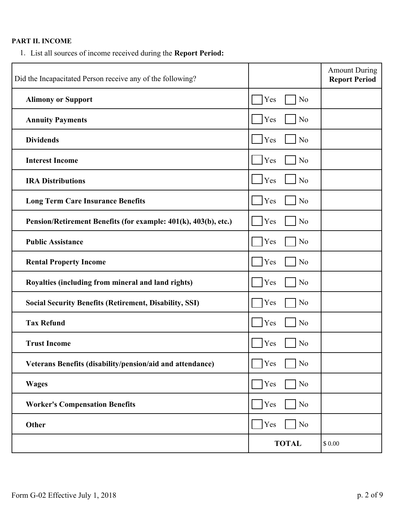## **PART II. INCOME**

1. List all sources of income received during the **Report Period:** 

| Did the Incapacitated Person receive any of the following?      |                              | <b>Amount During</b><br><b>Report Period</b> |
|-----------------------------------------------------------------|------------------------------|----------------------------------------------|
| <b>Alimony or Support</b>                                       | Yes<br>N <sub>o</sub>        |                                              |
| <b>Annuity Payments</b>                                         | N <sub>o</sub><br>Yes        |                                              |
| <b>Dividends</b>                                                | N <sub>o</sub><br>Yes        |                                              |
| <b>Interest Income</b>                                          | N <sub>o</sub><br>Yes        |                                              |
| <b>IRA Distributions</b>                                        | $\Box$ Yes<br>N <sub>o</sub> |                                              |
| <b>Long Term Care Insurance Benefits</b>                        | Yes<br>N <sub>o</sub>        |                                              |
| Pension/Retirement Benefits (for example: 401(k), 403(b), etc.) | Yes<br>No                    |                                              |
| <b>Public Assistance</b>                                        | No<br>Yes                    |                                              |
| <b>Rental Property Income</b>                                   | Yes<br>No                    |                                              |
| Royalties (including from mineral and land rights)              | No<br>Yes                    |                                              |
| <b>Social Security Benefits (Retirement, Disability, SSI)</b>   | No<br>Yes                    |                                              |
| <b>Tax Refund</b>                                               | N <sub>o</sub><br>Yes        |                                              |
| <b>Trust Income</b>                                             | No<br>Yes                    |                                              |
| Veterans Benefits (disability/pension/aid and attendance)       | No<br>Yes                    |                                              |
| <b>Wages</b>                                                    | N <sub>o</sub><br>Yes        |                                              |
| <b>Worker's Compensation Benefits</b>                           | Yes<br>No                    |                                              |
| Other                                                           | No<br>Yes                    |                                              |
|                                                                 | <b>TOTAL</b>                 | \$0.00                                       |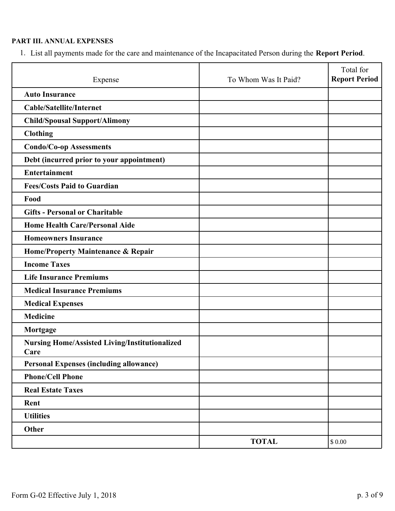## **PART III. ANNUAL EXPENSES**

1. List all payments made for the care and maintenance of the Incapacitated Person during the **Report Period**.

| Expense                                                       | To Whom Was It Paid? | Total for<br><b>Report Period</b> |
|---------------------------------------------------------------|----------------------|-----------------------------------|
| <b>Auto Insurance</b>                                         |                      |                                   |
| <b>Cable/Satellite/Internet</b>                               |                      |                                   |
| <b>Child/Spousal Support/Alimony</b>                          |                      |                                   |
| <b>Clothing</b>                                               |                      |                                   |
| <b>Condo/Co-op Assessments</b>                                |                      |                                   |
| Debt (incurred prior to your appointment)                     |                      |                                   |
| <b>Entertainment</b>                                          |                      |                                   |
| <b>Fees/Costs Paid to Guardian</b>                            |                      |                                   |
| Food                                                          |                      |                                   |
| <b>Gifts - Personal or Charitable</b>                         |                      |                                   |
| <b>Home Health Care/Personal Aide</b>                         |                      |                                   |
| <b>Homeowners Insurance</b>                                   |                      |                                   |
| Home/Property Maintenance & Repair                            |                      |                                   |
| <b>Income Taxes</b>                                           |                      |                                   |
| <b>Life Insurance Premiums</b>                                |                      |                                   |
| <b>Medical Insurance Premiums</b>                             |                      |                                   |
| <b>Medical Expenses</b>                                       |                      |                                   |
| <b>Medicine</b>                                               |                      |                                   |
| Mortgage                                                      |                      |                                   |
| <b>Nursing Home/Assisted Living/Institutionalized</b><br>Care |                      |                                   |
| <b>Personal Expenses (including allowance)</b>                |                      |                                   |
| <b>Phone/Cell Phone</b>                                       |                      |                                   |
| <b>Real Estate Taxes</b>                                      |                      |                                   |
| Rent                                                          |                      |                                   |
| <b>Utilities</b>                                              |                      |                                   |
| Other                                                         |                      |                                   |
|                                                               | <b>TOTAL</b>         | \$0.00                            |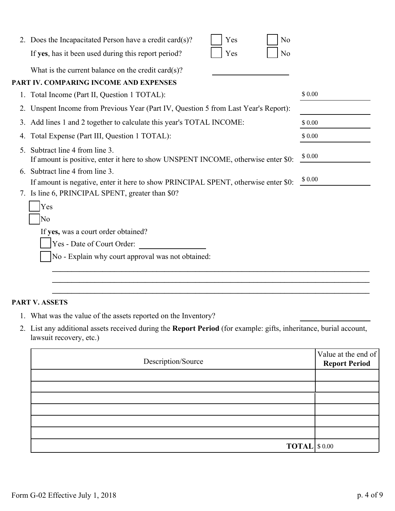|    | 2. Does the Incapacitated Person have a credit card(s)?<br>Yes<br>No                                              |         |
|----|-------------------------------------------------------------------------------------------------------------------|---------|
|    | Yes<br>No<br>If yes, has it been used during this report period?                                                  |         |
|    | What is the current balance on the credit card $(s)$ ?                                                            |         |
|    | PART IV. COMPARING INCOME AND EXPENSES                                                                            |         |
| 1. | Total Income (Part II, Question 1 TOTAL):                                                                         | \$ 0.00 |
| 2. | Unspent Income from Previous Year (Part IV, Question 5 from Last Year's Report):                                  |         |
|    | 3. Add lines 1 and 2 together to calculate this year's TOTAL INCOME:                                              | \$0.00  |
| 4. | Total Expense (Part III, Question 1 TOTAL):                                                                       | \$0.00  |
| 5. | Subtract line 4 from line 3.<br>If amount is positive, enter it here to show UNSPENT INCOME, otherwise enter \$0: | \$ 0.00 |
| 6. | Subtract line 4 from line 3.                                                                                      |         |
|    | If amount is negative, enter it here to show PRINCIPAL SPENT, otherwise enter \$0:                                | \$0.00  |
|    | 7. Is line 6, PRINCIPAL SPENT, greater than \$0?                                                                  |         |
|    | Yes                                                                                                               |         |
|    | No                                                                                                                |         |
|    | If yes, was a court order obtained?                                                                               |         |
|    | Yes - Date of Court Order:                                                                                        |         |
|    | No - Explain why court approval was not obtained:                                                                 |         |

### **PART V. ASSETS**

- 1. What was the value of the assets reported on the Inventory?
- 2. List any additional assets received during the **Report Period** (for example: gifts, inheritance, burial account, lawsuit recovery, etc.)

| \$ 0.00<br>If amount is negative, enter it here to show PRINCIPAL SPENT, otherwise enter \$0:                                             |                      |
|-------------------------------------------------------------------------------------------------------------------------------------------|----------------------|
| Is line 6, PRINCIPAL SPENT, greater than \$0?                                                                                             |                      |
| Yes                                                                                                                                       |                      |
| No                                                                                                                                        |                      |
| If yes, was a court order obtained?                                                                                                       |                      |
| Yes - Date of Court Order:                                                                                                                |                      |
| No - Explain why court approval was not obtained:                                                                                         |                      |
|                                                                                                                                           |                      |
|                                                                                                                                           |                      |
| <b>TV. ASSETS</b>                                                                                                                         |                      |
|                                                                                                                                           |                      |
| What was the value of the assets reported on the Inventory?                                                                               |                      |
| List any additional assets received during the Report Period (for example: gifts, inheritance, burial account,<br>lawsuit recovery, etc.) |                      |
|                                                                                                                                           |                      |
| Description/Source                                                                                                                        | Value at the end of  |
|                                                                                                                                           | <b>Report Period</b> |
|                                                                                                                                           |                      |
|                                                                                                                                           |                      |
|                                                                                                                                           |                      |
|                                                                                                                                           |                      |
|                                                                                                                                           |                      |
| $\textbf{TOTAL}$ \$ 0.00                                                                                                                  |                      |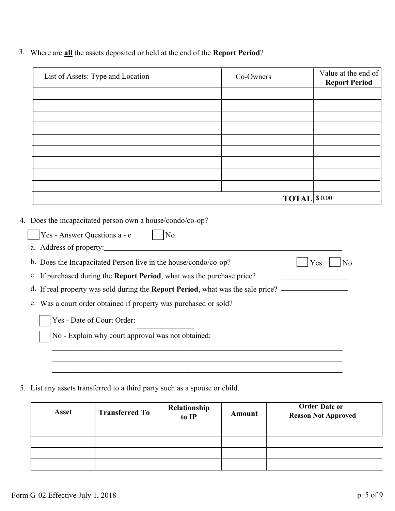3. Where are **all** the assets deposited or held at the end of the **Report Period**?

| List of Assets: Type and Location                                      | Co-Owners |                      | Value at the end of<br><b>Report Period</b> |
|------------------------------------------------------------------------|-----------|----------------------|---------------------------------------------|
|                                                                        |           |                      |                                             |
|                                                                        |           |                      |                                             |
|                                                                        |           |                      |                                             |
|                                                                        |           |                      |                                             |
|                                                                        |           |                      |                                             |
|                                                                        |           |                      |                                             |
|                                                                        |           |                      |                                             |
|                                                                        |           |                      |                                             |
|                                                                        |           | <b>TOTAL</b> \$ 0.00 |                                             |
| Yes - Answer Questions a - e<br>$\log$                                 |           |                      |                                             |
| b. Does the Incapacitated Person live in the house/condo/co-op?        |           |                      | Yes<br>N <sub>o</sub>                       |
| c. If purchased during the Report Period, what was the purchase price? |           |                      |                                             |
|                                                                        |           |                      |                                             |
| e. Was a court order obtained if property was purchased or sold?       |           |                      |                                             |
|                                                                        |           |                      |                                             |
| Yes - Date of Court Order:                                             |           |                      |                                             |
| No - Explain why court approval was not obtained:                      |           |                      |                                             |
|                                                                        |           |                      |                                             |
|                                                                        |           |                      |                                             |
|                                                                        |           |                      |                                             |

5. List any assets transferred to a third party such as a spouse or child.

| <b>Asset</b> | <b>Transferred To</b> | Relationship<br>to IP | Amount | <b>Order Date or</b><br><b>Reason Not Approved</b> |
|--------------|-----------------------|-----------------------|--------|----------------------------------------------------|
|              |                       |                       |        |                                                    |
|              |                       |                       |        |                                                    |
|              |                       |                       |        |                                                    |
|              |                       |                       |        |                                                    |

4.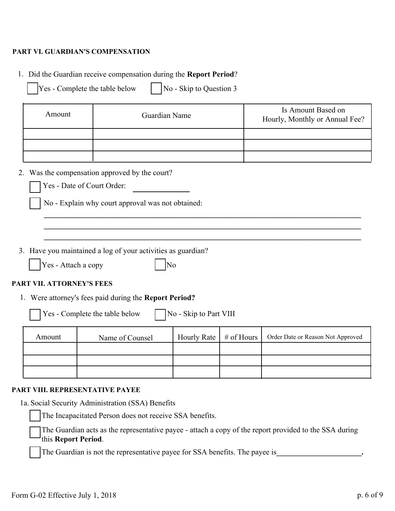### **PART VI. GUARDIAN'S COMPENSATION**

- 1. Did the Guardian receive compensation during the **Report Period**?
	- $Yes Complete the table below \t | No Skip to Question 3$

| Amount | Guardian Name | Is Amount Based on<br>Hourly, Monthly or Annual Fee? |
|--------|---------------|------------------------------------------------------|
|        |               |                                                      |
|        |               |                                                      |
|        |               |                                                      |

**\_\_\_\_\_\_\_\_\_\_\_\_\_\_\_\_\_\_\_\_\_\_\_\_\_\_\_\_\_\_\_\_\_\_\_\_\_\_\_\_\_\_\_\_\_\_\_\_\_\_\_\_\_\_\_\_\_\_\_\_\_\_\_\_\_\_\_\_\_\_\_\_\_\_\_\_\_\_\_\_\_\_ \_\_\_\_\_\_\_\_\_\_\_\_\_\_\_\_\_\_\_\_\_\_\_\_\_\_\_\_\_\_\_\_\_\_\_\_\_\_\_\_\_\_\_\_\_\_\_\_\_\_\_\_\_\_\_\_\_\_\_\_\_\_\_\_\_\_\_\_\_\_\_\_\_\_\_\_\_\_\_\_\_\_ \_\_\_\_\_\_\_\_\_\_\_\_\_\_\_\_\_\_\_\_\_\_\_\_\_\_\_\_\_\_\_\_\_\_\_\_\_\_\_\_\_\_\_\_\_\_\_\_\_\_\_\_\_\_\_\_\_\_\_\_\_\_\_\_\_\_\_\_\_\_\_\_\_\_\_\_\_\_\_\_\_\_**

## 2. Was the compensation approved by the court?

No - Explain why court approval was not obtained:

3. Have you maintained a log of your activities as guardian?

 $\begin{array}{|c|c|c|c|c|c|c|c|} \hline \text{Yes - Attach a copy} & & \text{No} \\\hline \end{array}$ 

## **PART VII. ATTORNEY'S FEES**

1. Were attorney's fees paid during the **Report Period?**

 $Yes - Complete the table below \t | No - Skip to Part VIII$ 

Amount Name of Counsel Hourly Rate # of Hours Order Date or Reason Not Approved

#### **PART VIII. REPRESENTATIVE PAYEE**

1a. Social Security Administration (SSA) Benefits

The Incapacitated Person does not receive SSA benefits.

The Guardian acts as the representative payee - attach a copy of the report provided to the SSA during this **Report Period**.

The Guardian is not the representative payee for SSA benefits. The payee is**\_\_\_\_\_\_\_\_\_\_\_\_\_\_\_\_\_\_\_\_\_\_.**

¨

 $\ddot{\phantom{a}}$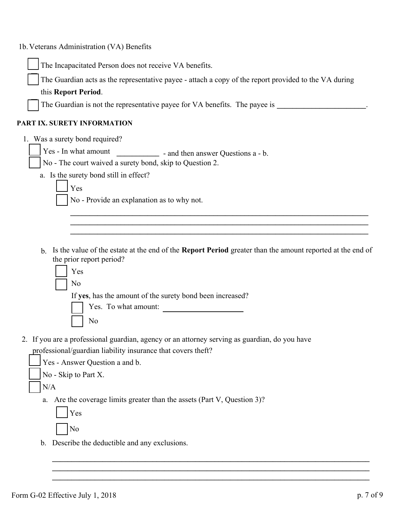| 1b. Veterans Administration (VA) Benefits                                                                                   |
|-----------------------------------------------------------------------------------------------------------------------------|
| The Incapacitated Person does not receive VA benefits.                                                                      |
| The Guardian acts as the representative payee - attach a copy of the report provided to the VA during                       |
| this Report Period.                                                                                                         |
| The Guardian is not the representative payee for VA benefits. The payee is                                                  |
| PART IX. SURETY INFORMATION                                                                                                 |
| 1. Was a surety bond required?                                                                                              |
| Yes - In what amount<br>- and then answer Questions a - b.                                                                  |
| No - The court waived a surety bond, skip to Question 2.                                                                    |
| a. Is the surety bond still in effect?                                                                                      |
| Yes                                                                                                                         |
| No - Provide an explanation as to why not.                                                                                  |
|                                                                                                                             |
|                                                                                                                             |
|                                                                                                                             |
| Is the value of the estate at the end of the Report Period greater than the amount reported at the end of<br>$\mathbf{b}$ . |
| the prior report period?<br>Yes                                                                                             |
| N <sub>o</sub>                                                                                                              |
| If yes, has the amount of the surety bond been increased?                                                                   |
| Yes. To what amount:                                                                                                        |
| No                                                                                                                          |
|                                                                                                                             |
| 2. If you are a professional guardian, agency or an attorney serving as guardian, do you have                               |
| professional/guardian liability insurance that covers theft?                                                                |
| Yes - Answer Question a and b.                                                                                              |
| No - Skip to Part X.                                                                                                        |
| N/A                                                                                                                         |
| Are the coverage limits greater than the assets (Part V, Question 3)?<br>a.                                                 |
| Yes                                                                                                                         |
| No                                                                                                                          |
| b. Describe the deductible and any exclusions.                                                                              |
|                                                                                                                             |
|                                                                                                                             |

**\_\_\_\_\_\_\_\_\_\_\_\_\_\_\_\_\_\_\_\_\_\_\_\_\_\_\_\_\_\_\_\_\_\_\_\_\_\_\_\_\_\_\_\_\_\_\_\_\_\_\_\_\_\_\_\_\_\_\_\_\_\_\_\_\_\_\_\_\_\_\_\_\_\_\_\_\_\_\_\_\_\_**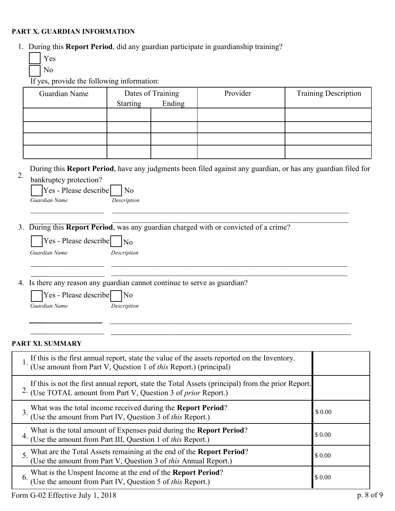#### **PART X. GUARDIAN INFORMATION**

- 1. During this **Report Period**, did any guardian participate in guardianship training?
	- Yes

No

If yes, provide the following information:

| Guardian Name                                                                    |                     | Dates of Training | Provider                                                                                          | <b>Training Description</b>                                                                                  |
|----------------------------------------------------------------------------------|---------------------|-------------------|---------------------------------------------------------------------------------------------------|--------------------------------------------------------------------------------------------------------------|
|                                                                                  | <b>Starting</b>     | Ending            |                                                                                                   |                                                                                                              |
|                                                                                  |                     |                   |                                                                                                   |                                                                                                              |
|                                                                                  |                     |                   |                                                                                                   |                                                                                                              |
|                                                                                  |                     |                   |                                                                                                   |                                                                                                              |
|                                                                                  |                     |                   |                                                                                                   |                                                                                                              |
| 2.                                                                               |                     |                   |                                                                                                   | During this Report Period, have any judgments been filed against any guardian, or has any guardian filed for |
| bankruptcy protection?<br>Yes - Please describe                                  | N <sub>o</sub>      |                   |                                                                                                   |                                                                                                              |
| Guardian Name                                                                    | Description         |                   |                                                                                                   |                                                                                                              |
|                                                                                  |                     |                   |                                                                                                   |                                                                                                              |
|                                                                                  |                     |                   |                                                                                                   |                                                                                                              |
| 3.                                                                               |                     |                   | During this Report Period, was any guardian charged with or convicted of a crime?                 |                                                                                                              |
| Yes - Please describe                                                            | $\overline{N_0}$    |                   |                                                                                                   |                                                                                                              |
| Guardian Name                                                                    | Description         |                   |                                                                                                   |                                                                                                              |
|                                                                                  |                     |                   |                                                                                                   |                                                                                                              |
| 4. Is there any reason any guardian cannot continue to serve as guardian?        |                     |                   |                                                                                                   |                                                                                                              |
| Yes - Please describe                                                            | $\overline{\rm No}$ |                   |                                                                                                   |                                                                                                              |
| Guardian Name                                                                    | Description         |                   |                                                                                                   |                                                                                                              |
|                                                                                  |                     |                   |                                                                                                   |                                                                                                              |
|                                                                                  |                     |                   |                                                                                                   |                                                                                                              |
|                                                                                  |                     |                   |                                                                                                   |                                                                                                              |
| PART XI. SUMMARY                                                                 |                     |                   |                                                                                                   |                                                                                                              |
|                                                                                  |                     |                   | If this is the first annual report, state the value of the assets reported on the Inventory.      |                                                                                                              |
| (Use amount from Part V, Question 1 of this Report.) (principal)                 |                     |                   |                                                                                                   |                                                                                                              |
|                                                                                  |                     |                   | If this is not the first annual report, state the Total Assets (principal) from the prior Report. |                                                                                                              |
| <sup>2.</sup> (Use TOTAL amount from Part V, Question 3 of <i>prior</i> Report.) |                     |                   |                                                                                                   |                                                                                                              |

What was the total income received during the **Report Period**? (Use the amount from Part IV, Question 3 of *this* Report.) What is the total amount of Expenses paid during the **Report Period**? (Use the amount from Part III, Question 1 of *this* Report.) 3. 4.

What are the Total Assets remaining at the end of the **Report Period**? 5. (Use the amount from Part V, Question 3 of *this* Annual Report.) What is the Unspent Income at the end of the **Report Period**? (Use the amount from Part IV, Question 5 of *this* Report.) 6. \$ 0.00 \$ 0.00

\$ 0.00

\$ 0.00